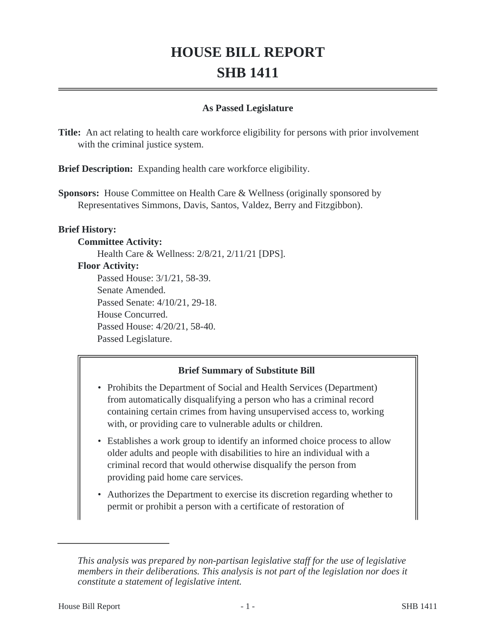# **HOUSE BILL REPORT SHB 1411**

#### **As Passed Legislature**

**Title:** An act relating to health care workforce eligibility for persons with prior involvement with the criminal justice system.

**Brief Description:** Expanding health care workforce eligibility.

**Sponsors:** House Committee on Health Care & Wellness (originally sponsored by Representatives Simmons, Davis, Santos, Valdez, Berry and Fitzgibbon).

#### **Brief History:**

**Committee Activity:**

Health Care & Wellness: 2/8/21, 2/11/21 [DPS].

**Floor Activity:**

Passed House: 3/1/21, 58-39. Senate Amended. Passed Senate: 4/10/21, 29-18. House Concurred. Passed House: 4/20/21, 58-40. Passed Legislature.

## **Brief Summary of Substitute Bill**

- Prohibits the Department of Social and Health Services (Department) from automatically disqualifying a person who has a criminal record containing certain crimes from having unsupervised access to, working with, or providing care to vulnerable adults or children.
- Establishes a work group to identify an informed choice process to allow older adults and people with disabilities to hire an individual with a criminal record that would otherwise disqualify the person from providing paid home care services.
- Authorizes the Department to exercise its discretion regarding whether to permit or prohibit a person with a certificate of restoration of

*This analysis was prepared by non-partisan legislative staff for the use of legislative members in their deliberations. This analysis is not part of the legislation nor does it constitute a statement of legislative intent.*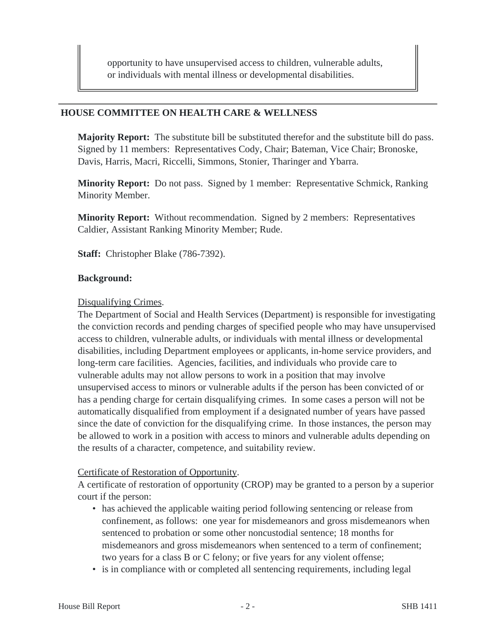opportunity to have unsupervised access to children, vulnerable adults, or individuals with mental illness or developmental disabilities.

#### **HOUSE COMMITTEE ON HEALTH CARE & WELLNESS**

**Majority Report:** The substitute bill be substituted therefor and the substitute bill do pass. Signed by 11 members: Representatives Cody, Chair; Bateman, Vice Chair; Bronoske, Davis, Harris, Macri, Riccelli, Simmons, Stonier, Tharinger and Ybarra.

**Minority Report:** Do not pass. Signed by 1 member: Representative Schmick, Ranking Minority Member.

**Minority Report:** Without recommendation. Signed by 2 members: Representatives Caldier, Assistant Ranking Minority Member; Rude.

**Staff:** Christopher Blake (786-7392).

## **Background:**

#### Disqualifying Crimes.

The Department of Social and Health Services (Department) is responsible for investigating the conviction records and pending charges of specified people who may have unsupervised access to children, vulnerable adults, or individuals with mental illness or developmental disabilities, including Department employees or applicants, in-home service providers, and long-term care facilities. Agencies, facilities, and individuals who provide care to vulnerable adults may not allow persons to work in a position that may involve unsupervised access to minors or vulnerable adults if the person has been convicted of or has a pending charge for certain disqualifying crimes. In some cases a person will not be automatically disqualified from employment if a designated number of years have passed since the date of conviction for the disqualifying crime. In those instances, the person may be allowed to work in a position with access to minors and vulnerable adults depending on the results of a character, competence, and suitability review.

## Certificate of Restoration of Opportunity.

A certificate of restoration of opportunity (CROP) may be granted to a person by a superior court if the person:

- has achieved the applicable waiting period following sentencing or release from confinement, as follows: one year for misdemeanors and gross misdemeanors when sentenced to probation or some other noncustodial sentence; 18 months for misdemeanors and gross misdemeanors when sentenced to a term of confinement; two years for a class B or C felony; or five years for any violent offense;
- is in compliance with or completed all sentencing requirements, including legal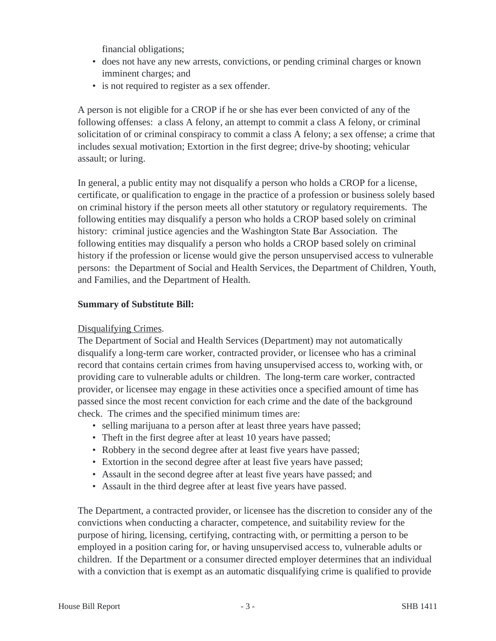financial obligations;

- does not have any new arrests, convictions, or pending criminal charges or known imminent charges; and
- is not required to register as a sex offender.

A person is not eligible for a CROP if he or she has ever been convicted of any of the following offenses: a class A felony, an attempt to commit a class A felony, or criminal solicitation of or criminal conspiracy to commit a class A felony; a sex offense; a crime that includes sexual motivation; Extortion in the first degree; drive-by shooting; vehicular assault; or luring.

In general, a public entity may not disqualify a person who holds a CROP for a license, certificate, or qualification to engage in the practice of a profession or business solely based on criminal history if the person meets all other statutory or regulatory requirements. The following entities may disqualify a person who holds a CROP based solely on criminal history: criminal justice agencies and the Washington State Bar Association. The following entities may disqualify a person who holds a CROP based solely on criminal history if the profession or license would give the person unsupervised access to vulnerable persons: the Department of Social and Health Services, the Department of Children, Youth, and Families, and the Department of Health.

## **Summary of Substitute Bill:**

## Disqualifying Crimes.

The Department of Social and Health Services (Department) may not automatically disqualify a long-term care worker, contracted provider, or licensee who has a criminal record that contains certain crimes from having unsupervised access to, working with, or providing care to vulnerable adults or children. The long-term care worker, contracted provider, or licensee may engage in these activities once a specified amount of time has passed since the most recent conviction for each crime and the date of the background check. The crimes and the specified minimum times are:

- selling marijuana to a person after at least three years have passed;
- Theft in the first degree after at least 10 years have passed;
- Robbery in the second degree after at least five years have passed;
- Extortion in the second degree after at least five years have passed;
- Assault in the second degree after at least five years have passed; and
- Assault in the third degree after at least five years have passed.

The Department, a contracted provider, or licensee has the discretion to consider any of the convictions when conducting a character, competence, and suitability review for the purpose of hiring, licensing, certifying, contracting with, or permitting a person to be employed in a position caring for, or having unsupervised access to, vulnerable adults or children. If the Department or a consumer directed employer determines that an individual with a conviction that is exempt as an automatic disqualifying crime is qualified to provide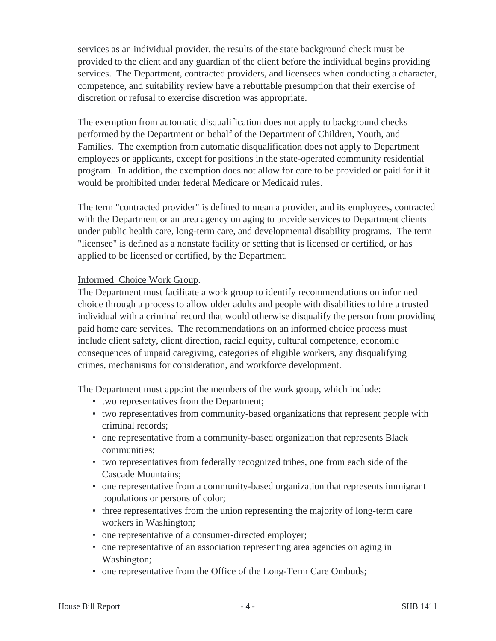services as an individual provider, the results of the state background check must be provided to the client and any guardian of the client before the individual begins providing services. The Department, contracted providers, and licensees when conducting a character, competence, and suitability review have a rebuttable presumption that their exercise of discretion or refusal to exercise discretion was appropriate.

The exemption from automatic disqualification does not apply to background checks performed by the Department on behalf of the Department of Children, Youth, and Families. The exemption from automatic disqualification does not apply to Department employees or applicants, except for positions in the state-operated community residential program. In addition, the exemption does not allow for care to be provided or paid for if it would be prohibited under federal Medicare or Medicaid rules.

The term "contracted provider" is defined to mean a provider, and its employees, contracted with the Department or an area agency on aging to provide services to Department clients under public health care, long-term care, and developmental disability programs. The term "licensee" is defined as a nonstate facility or setting that is licensed or certified, or has applied to be licensed or certified, by the Department.

#### Informed Choice Work Group.

The Department must facilitate a work group to identify recommendations on informed choice through a process to allow older adults and people with disabilities to hire a trusted individual with a criminal record that would otherwise disqualify the person from providing paid home care services. The recommendations on an informed choice process must include client safety, client direction, racial equity, cultural competence, economic consequences of unpaid caregiving, categories of eligible workers, any disqualifying crimes, mechanisms for consideration, and workforce development.

The Department must appoint the members of the work group, which include:

- two representatives from the Department;
- two representatives from community-based organizations that represent people with criminal records;
- one representative from a community-based organization that represents Black communities;
- two representatives from federally recognized tribes, one from each side of the Cascade Mountains;
- one representative from a community-based organization that represents immigrant populations or persons of color;
- three representatives from the union representing the majority of long-term care workers in Washington;
- one representative of a consumer-directed employer;
- one representative of an association representing area agencies on aging in Washington;
- one representative from the Office of the Long-Term Care Ombuds;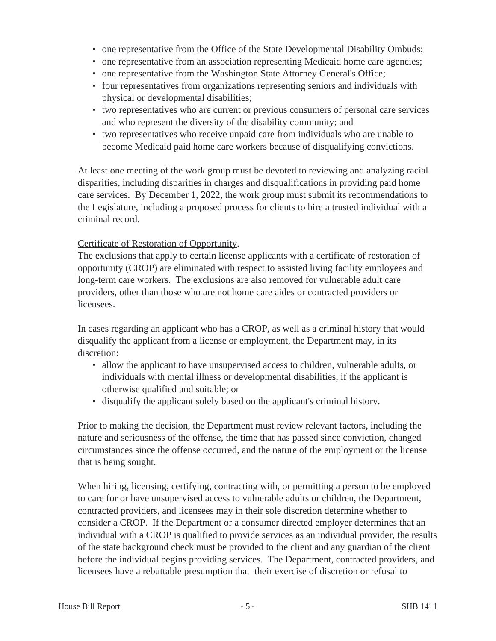- one representative from the Office of the State Developmental Disability Ombuds;
- one representative from an association representing Medicaid home care agencies;
- one representative from the Washington State Attorney General's Office;
- four representatives from organizations representing seniors and individuals with physical or developmental disabilities;
- two representatives who are current or previous consumers of personal care services and who represent the diversity of the disability community; and
- two representatives who receive unpaid care from individuals who are unable to become Medicaid paid home care workers because of disqualifying convictions.

At least one meeting of the work group must be devoted to reviewing and analyzing racial disparities, including disparities in charges and disqualifications in providing paid home care services. By December 1, 2022, the work group must submit its recommendations to the Legislature, including a proposed process for clients to hire a trusted individual with a criminal record.

Certificate of Restoration of Opportunity.

The exclusions that apply to certain license applicants with a certificate of restoration of opportunity (CROP) are eliminated with respect to assisted living facility employees and long-term care workers. The exclusions are also removed for vulnerable adult care providers, other than those who are not home care aides or contracted providers or licensees.

In cases regarding an applicant who has a CROP, as well as a criminal history that would disqualify the applicant from a license or employment, the Department may, in its discretion:

- allow the applicant to have unsupervised access to children, vulnerable adults, or individuals with mental illness or developmental disabilities, if the applicant is otherwise qualified and suitable; or
- disqualify the applicant solely based on the applicant's criminal history.

Prior to making the decision, the Department must review relevant factors, including the nature and seriousness of the offense, the time that has passed since conviction, changed circumstances since the offense occurred, and the nature of the employment or the license that is being sought.

When hiring, licensing, certifying, contracting with, or permitting a person to be employed to care for or have unsupervised access to vulnerable adults or children, the Department, contracted providers, and licensees may in their sole discretion determine whether to consider a CROP. If the Department or a consumer directed employer determines that an individual with a CROP is qualified to provide services as an individual provider, the results of the state background check must be provided to the client and any guardian of the client before the individual begins providing services. The Department, contracted providers, and licensees have a rebuttable presumption that their exercise of discretion or refusal to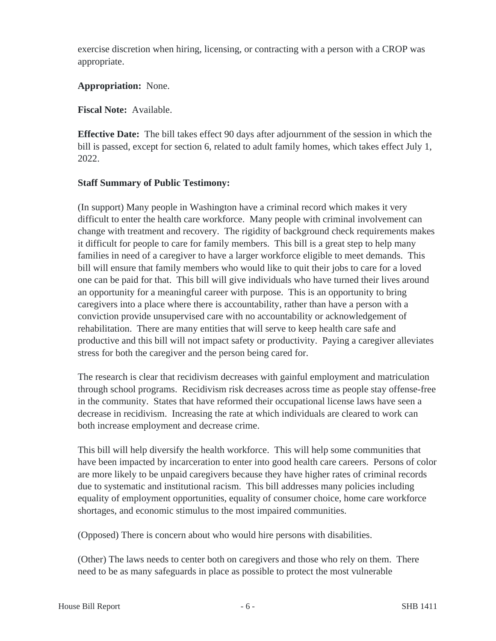exercise discretion when hiring, licensing, or contracting with a person with a CROP was appropriate.

## **Appropriation:** None.

**Fiscal Note:** Available.

**Effective Date:** The bill takes effect 90 days after adjournment of the session in which the bill is passed, except for section 6, related to adult family homes, which takes effect July 1, 2022.

## **Staff Summary of Public Testimony:**

(In support) Many people in Washington have a criminal record which makes it very difficult to enter the health care workforce. Many people with criminal involvement can change with treatment and recovery. The rigidity of background check requirements makes it difficult for people to care for family members. This bill is a great step to help many families in need of a caregiver to have a larger workforce eligible to meet demands. This bill will ensure that family members who would like to quit their jobs to care for a loved one can be paid for that. This bill will give individuals who have turned their lives around an opportunity for a meaningful career with purpose. This is an opportunity to bring caregivers into a place where there is accountability, rather than have a person with a conviction provide unsupervised care with no accountability or acknowledgement of rehabilitation. There are many entities that will serve to keep health care safe and productive and this bill will not impact safety or productivity. Paying a caregiver alleviates stress for both the caregiver and the person being cared for.

The research is clear that recidivism decreases with gainful employment and matriculation through school programs. Recidivism risk decreases across time as people stay offense-free in the community. States that have reformed their occupational license laws have seen a decrease in recidivism. Increasing the rate at which individuals are cleared to work can both increase employment and decrease crime.

This bill will help diversify the health workforce. This will help some communities that have been impacted by incarceration to enter into good health care careers. Persons of color are more likely to be unpaid caregivers because they have higher rates of criminal records due to systematic and institutional racism. This bill addresses many policies including equality of employment opportunities, equality of consumer choice, home care workforce shortages, and economic stimulus to the most impaired communities.

(Opposed) There is concern about who would hire persons with disabilities.

(Other) The laws needs to center both on caregivers and those who rely on them. There need to be as many safeguards in place as possible to protect the most vulnerable